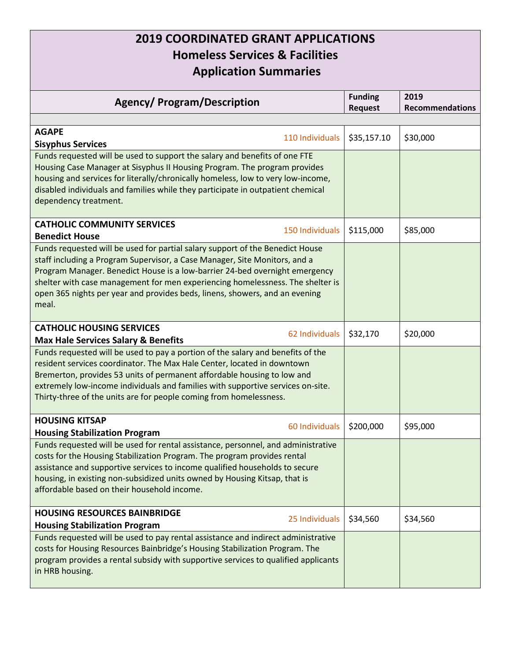## **2019 COORDINATED GRANT APPLICATIONS Homeless Services & Facilities Application Summaries**

| <b>Agency/ Program/Description</b>                                                 | <b>Funding</b> | 2019                   |
|------------------------------------------------------------------------------------|----------------|------------------------|
|                                                                                    | <b>Request</b> | <b>Recommendations</b> |
|                                                                                    |                |                        |
| <b>AGAPE</b><br>110 Individuals                                                    | \$35,157.10    | \$30,000               |
| <b>Sisyphus Services</b>                                                           |                |                        |
| Funds requested will be used to support the salary and benefits of one FTE         |                |                        |
| Housing Case Manager at Sisyphus II Housing Program. The program provides          |                |                        |
| housing and services for literally/chronically homeless, low to very low-income,   |                |                        |
| disabled individuals and families while they participate in outpatient chemical    |                |                        |
| dependency treatment.                                                              |                |                        |
|                                                                                    |                |                        |
| <b>CATHOLIC COMMUNITY SERVICES</b><br>150 Individuals                              | \$115,000      | \$85,000               |
| <b>Benedict House</b>                                                              |                |                        |
| Funds requested will be used for partial salary support of the Benedict House      |                |                        |
| staff including a Program Supervisor, a Case Manager, Site Monitors, and a         |                |                        |
| Program Manager. Benedict House is a low-barrier 24-bed overnight emergency        |                |                        |
| shelter with case management for men experiencing homelessness. The shelter is     |                |                        |
| open 365 nights per year and provides beds, linens, showers, and an evening        |                |                        |
| meal.                                                                              |                |                        |
|                                                                                    |                |                        |
| <b>CATHOLIC HOUSING SERVICES</b><br>62 Individuals                                 | \$32,170       | \$20,000               |
| <b>Max Hale Services Salary &amp; Benefits</b>                                     |                |                        |
| Funds requested will be used to pay a portion of the salary and benefits of the    |                |                        |
| resident services coordinator. The Max Hale Center, located in downtown            |                |                        |
| Bremerton, provides 53 units of permanent affordable housing to low and            |                |                        |
| extremely low-income individuals and families with supportive services on-site.    |                |                        |
| Thirty-three of the units are for people coming from homelessness.                 |                |                        |
|                                                                                    |                |                        |
| <b>HOUSING KITSAP</b><br>60 Individuals                                            | \$200,000      | \$95,000               |
| <b>Housing Stabilization Program</b>                                               |                |                        |
| Funds requested will be used for rental assistance, personnel, and administrative  |                |                        |
| costs for the Housing Stabilization Program. The program provides rental           |                |                        |
| assistance and supportive services to income qualified households to secure        |                |                        |
| housing, in existing non-subsidized units owned by Housing Kitsap, that is         |                |                        |
| affordable based on their household income.                                        |                |                        |
|                                                                                    |                |                        |
| <b>HOUSING RESOURCES BAINBRIDGE</b><br>25 Individuals                              | \$34,560       | \$34,560               |
| <b>Housing Stabilization Program</b>                                               |                |                        |
| Funds requested will be used to pay rental assistance and indirect administrative  |                |                        |
| costs for Housing Resources Bainbridge's Housing Stabilization Program. The        |                |                        |
| program provides a rental subsidy with supportive services to qualified applicants |                |                        |
| in HRB housing.                                                                    |                |                        |
|                                                                                    |                |                        |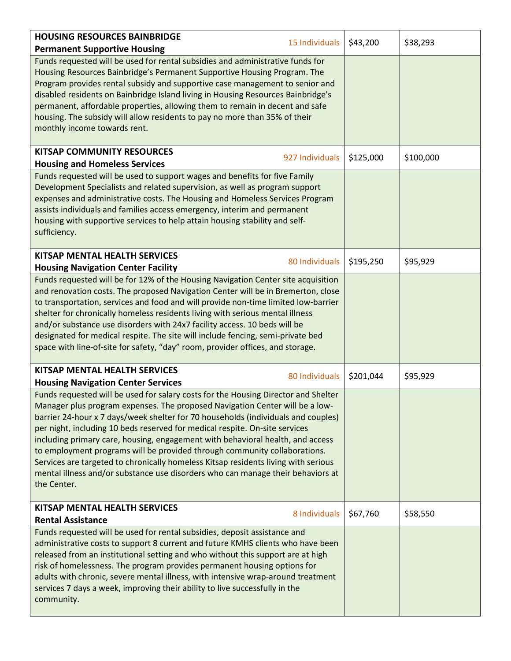| <b>HOUSING RESOURCES BAINBRIDGE</b>                                                                                                                                                                                                                                                                                                                                                                                                                                                                                                                                                                                                                                                           | 15 Individuals  | \$43,200  | \$38,293  |
|-----------------------------------------------------------------------------------------------------------------------------------------------------------------------------------------------------------------------------------------------------------------------------------------------------------------------------------------------------------------------------------------------------------------------------------------------------------------------------------------------------------------------------------------------------------------------------------------------------------------------------------------------------------------------------------------------|-----------------|-----------|-----------|
| <b>Permanent Supportive Housing</b>                                                                                                                                                                                                                                                                                                                                                                                                                                                                                                                                                                                                                                                           |                 |           |           |
| Funds requested will be used for rental subsidies and administrative funds for<br>Housing Resources Bainbridge's Permanent Supportive Housing Program. The<br>Program provides rental subsidy and supportive case management to senior and<br>disabled residents on Bainbridge Island living in Housing Resources Bainbridge's<br>permanent, affordable properties, allowing them to remain in decent and safe<br>housing. The subsidy will allow residents to pay no more than 35% of their<br>monthly income towards rent.                                                                                                                                                                  |                 |           |           |
| <b>KITSAP COMMUNITY RESOURCES</b>                                                                                                                                                                                                                                                                                                                                                                                                                                                                                                                                                                                                                                                             | 927 Individuals | \$125,000 | \$100,000 |
| <b>Housing and Homeless Services</b>                                                                                                                                                                                                                                                                                                                                                                                                                                                                                                                                                                                                                                                          |                 |           |           |
| Funds requested will be used to support wages and benefits for five Family<br>Development Specialists and related supervision, as well as program support<br>expenses and administrative costs. The Housing and Homeless Services Program<br>assists individuals and families access emergency, interim and permanent<br>housing with supportive services to help attain housing stability and self-<br>sufficiency.                                                                                                                                                                                                                                                                          |                 |           |           |
| <b>KITSAP MENTAL HEALTH SERVICES</b><br><b>Housing Navigation Center Facility</b>                                                                                                                                                                                                                                                                                                                                                                                                                                                                                                                                                                                                             | 80 Individuals  | \$195,250 | \$95,929  |
| Funds requested will be for 12% of the Housing Navigation Center site acquisition<br>and renovation costs. The proposed Navigation Center will be in Bremerton, close<br>to transportation, services and food and will provide non-time limited low-barrier<br>shelter for chronically homeless residents living with serious mental illness<br>and/or substance use disorders with 24x7 facility access. 10 beds will be<br>designated for medical respite. The site will include fencing, semi-private bed<br>space with line-of-site for safety, "day" room, provider offices, and storage.                                                                                                |                 |           |           |
| KITSAP MENTAL HEALTH SERVICES                                                                                                                                                                                                                                                                                                                                                                                                                                                                                                                                                                                                                                                                 | 80 Individuals  | \$201,044 | \$95,929  |
| <b>Housing Navigation Center Services</b>                                                                                                                                                                                                                                                                                                                                                                                                                                                                                                                                                                                                                                                     |                 |           |           |
| Funds requested will be used for salary costs for the Housing Director and Shelter<br>Manager plus program expenses. The proposed Navigation Center will be a low-<br>barrier 24-hour x 7 days/week shelter for 70 households (individuals and couples)<br>per night, including 10 beds reserved for medical respite. On-site services<br>including primary care, housing, engagement with behavioral health, and access<br>to employment programs will be provided through community collaborations.<br>Services are targeted to chronically homeless Kitsap residents living with serious<br>mental illness and/or substance use disorders who can manage their behaviors at<br>the Center. |                 |           |           |
| KITSAP MENTAL HEALTH SERVICES<br><b>Rental Assistance</b>                                                                                                                                                                                                                                                                                                                                                                                                                                                                                                                                                                                                                                     | 8 Individuals   | \$67,760  | \$58,550  |
| Funds requested will be used for rental subsidies, deposit assistance and                                                                                                                                                                                                                                                                                                                                                                                                                                                                                                                                                                                                                     |                 |           |           |
| administrative costs to support 8 current and future KMHS clients who have been<br>released from an institutional setting and who without this support are at high<br>risk of homelessness. The program provides permanent housing options for<br>adults with chronic, severe mental illness, with intensive wrap-around treatment<br>services 7 days a week, improving their ability to live successfully in the<br>community.                                                                                                                                                                                                                                                               |                 |           |           |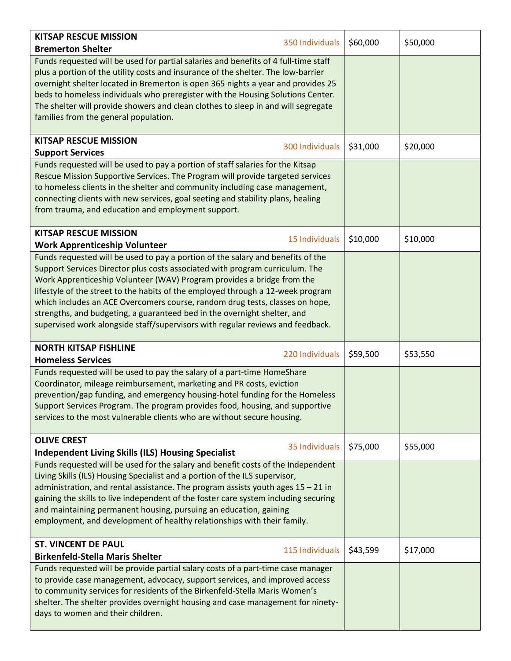| <b>KITSAP RESCUE MISSION</b>                                                                                                                                                                                                                                                                                                                                                                                                                                                                                                                                               | 350 Individuals | \$60,000 | \$50,000 |
|----------------------------------------------------------------------------------------------------------------------------------------------------------------------------------------------------------------------------------------------------------------------------------------------------------------------------------------------------------------------------------------------------------------------------------------------------------------------------------------------------------------------------------------------------------------------------|-----------------|----------|----------|
| <b>Bremerton Shelter</b>                                                                                                                                                                                                                                                                                                                                                                                                                                                                                                                                                   |                 |          |          |
| Funds requested will be used for partial salaries and benefits of 4 full-time staff<br>plus a portion of the utility costs and insurance of the shelter. The low-barrier<br>overnight shelter located in Bremerton is open 365 nights a year and provides 25<br>beds to homeless individuals who preregister with the Housing Solutions Center.<br>The shelter will provide showers and clean clothes to sleep in and will segregate<br>families from the general population.                                                                                              |                 |          |          |
| <b>KITSAP RESCUE MISSION</b>                                                                                                                                                                                                                                                                                                                                                                                                                                                                                                                                               | 300 Individuals | \$31,000 | \$20,000 |
| <b>Support Services</b>                                                                                                                                                                                                                                                                                                                                                                                                                                                                                                                                                    |                 |          |          |
| Funds requested will be used to pay a portion of staff salaries for the Kitsap<br>Rescue Mission Supportive Services. The Program will provide targeted services<br>to homeless clients in the shelter and community including case management,<br>connecting clients with new services, goal seeting and stability plans, healing<br>from trauma, and education and employment support.                                                                                                                                                                                   |                 |          |          |
| <b>KITSAP RESCUE MISSION</b><br><b>Work Apprenticeship Volunteer</b>                                                                                                                                                                                                                                                                                                                                                                                                                                                                                                       | 15 Individuals  | \$10,000 | \$10,000 |
| Funds requested will be used to pay a portion of the salary and benefits of the<br>Support Services Director plus costs associated with program curriculum. The<br>Work Apprenticeship Volunteer (WAV) Program provides a bridge from the<br>lifestyle of the street to the habits of the employed through a 12-week program<br>which includes an ACE Overcomers course, random drug tests, classes on hope,<br>strengths, and budgeting, a guaranteed bed in the overnight shelter, and<br>supervised work alongside staff/supervisors with regular reviews and feedback. |                 |          |          |
| <b>NORTH KITSAP FISHLINE</b><br><b>Homeless Services</b>                                                                                                                                                                                                                                                                                                                                                                                                                                                                                                                   | 220 Individuals | \$59,500 | \$53,550 |
| Funds requested will be used to pay the salary of a part-time HomeShare<br>Coordinator, mileage reimbursement, marketing and PR costs, eviction<br>prevention/gap funding, and emergency housing-hotel funding for the Homeless<br>Support Services Program. The program provides food, housing, and supportive<br>services to the most vulnerable clients who are without secure housing.                                                                                                                                                                                 |                 |          |          |
| <b>OLIVE CREST</b><br><b>Independent Living Skills (ILS) Housing Specialist</b>                                                                                                                                                                                                                                                                                                                                                                                                                                                                                            | 35 Individuals  | \$75,000 | \$55,000 |
| Funds requested will be used for the salary and benefit costs of the Independent<br>Living Skills (ILS) Housing Specialist and a portion of the ILS supervisor,<br>administration, and rental assistance. The program assists youth ages $15 - 21$ in<br>gaining the skills to live independent of the foster care system including securing<br>and maintaining permanent housing, pursuing an education, gaining<br>employment, and development of healthy relationships with their family.                                                                               |                 |          |          |
| <b>ST. VINCENT DE PAUL</b><br><b>Birkenfeld-Stella Maris Shelter</b>                                                                                                                                                                                                                                                                                                                                                                                                                                                                                                       | 115 Individuals | \$43,599 | \$17,000 |
| Funds requested will be provide partial salary costs of a part-time case manager<br>to provide case management, advocacy, support services, and improved access<br>to community services for residents of the Birkenfeld-Stella Maris Women's<br>shelter. The shelter provides overnight housing and case management for ninety-<br>days to women and their children.                                                                                                                                                                                                      |                 |          |          |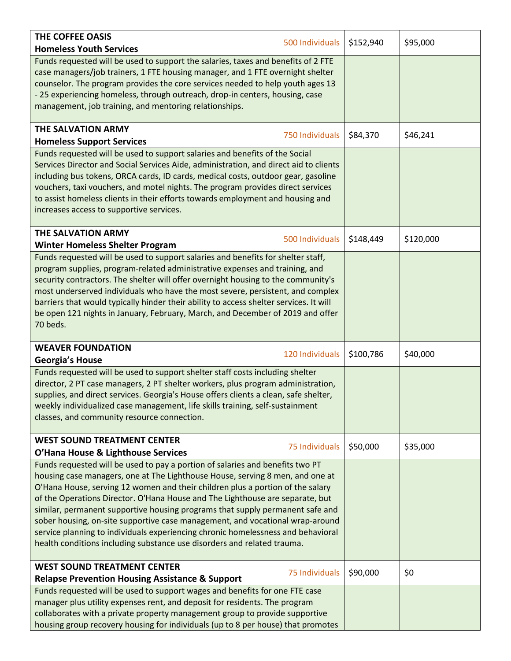| THE COFFEE OASIS                                                                                                                                                                                                                                                                                                                                                                                                                                                                                                                                                                                                                                                                                         | 500 Individuals | \$152,940 | \$95,000  |
|----------------------------------------------------------------------------------------------------------------------------------------------------------------------------------------------------------------------------------------------------------------------------------------------------------------------------------------------------------------------------------------------------------------------------------------------------------------------------------------------------------------------------------------------------------------------------------------------------------------------------------------------------------------------------------------------------------|-----------------|-----------|-----------|
| <b>Homeless Youth Services</b>                                                                                                                                                                                                                                                                                                                                                                                                                                                                                                                                                                                                                                                                           |                 |           |           |
| Funds requested will be used to support the salaries, taxes and benefits of 2 FTE<br>case managers/job trainers, 1 FTE housing manager, and 1 FTE overnight shelter<br>counselor. The program provides the core services needed to help youth ages 13<br>- 25 experiencing homeless, through outreach, drop-in centers, housing, case<br>management, job training, and mentoring relationships.                                                                                                                                                                                                                                                                                                          |                 |           |           |
| THE SALVATION ARMY                                                                                                                                                                                                                                                                                                                                                                                                                                                                                                                                                                                                                                                                                       |                 |           |           |
| <b>Homeless Support Services</b>                                                                                                                                                                                                                                                                                                                                                                                                                                                                                                                                                                                                                                                                         | 750 Individuals | \$84,370  | \$46,241  |
| Funds requested will be used to support salaries and benefits of the Social<br>Services Director and Social Services Aide, administration, and direct aid to clients<br>including bus tokens, ORCA cards, ID cards, medical costs, outdoor gear, gasoline<br>vouchers, taxi vouchers, and motel nights. The program provides direct services<br>to assist homeless clients in their efforts towards employment and housing and<br>increases access to supportive services.                                                                                                                                                                                                                               |                 |           |           |
| THE SALVATION ARMY                                                                                                                                                                                                                                                                                                                                                                                                                                                                                                                                                                                                                                                                                       | 500 Individuals | \$148,449 | \$120,000 |
| <b>Winter Homeless Shelter Program</b>                                                                                                                                                                                                                                                                                                                                                                                                                                                                                                                                                                                                                                                                   |                 |           |           |
| Funds requested will be used to support salaries and benefits for shelter staff,<br>program supplies, program-related administrative expenses and training, and<br>security contractors. The shelter will offer overnight housing to the community's<br>most underserved individuals who have the most severe, persistent, and complex<br>barriers that would typically hinder their ability to access shelter services. It will<br>be open 121 nights in January, February, March, and December of 2019 and offer<br>70 beds.                                                                                                                                                                           |                 |           |           |
| <b>WEAVER FOUNDATION</b><br><b>Georgia's House</b>                                                                                                                                                                                                                                                                                                                                                                                                                                                                                                                                                                                                                                                       | 120 Individuals | \$100,786 | \$40,000  |
| Funds requested will be used to support shelter staff costs including shelter<br>director, 2 PT case managers, 2 PT shelter workers, plus program administration,<br>supplies, and direct services. Georgia's House offers clients a clean, safe shelter,<br>weekly individualized case management, life skills training, self-sustainment<br>classes, and community resource connection.                                                                                                                                                                                                                                                                                                                |                 |           |           |
| <b>WEST SOUND TREATMENT CENTER</b><br>O'Hana House & Lighthouse Services                                                                                                                                                                                                                                                                                                                                                                                                                                                                                                                                                                                                                                 | 75 Individuals  | \$50,000  | \$35,000  |
| Funds requested will be used to pay a portion of salaries and benefits two PT<br>housing case managers, one at The Lighthouse House, serving 8 men, and one at<br>O'Hana House, serving 12 women and their children plus a portion of the salary<br>of the Operations Director. O'Hana House and The Lighthouse are separate, but<br>similar, permanent supportive housing programs that supply permanent safe and<br>sober housing, on-site supportive case management, and vocational wrap-around<br>service planning to individuals experiencing chronic homelessness and behavioral<br>health conditions including substance use disorders and related trauma.<br><b>WEST SOUND TREATMENT CENTER</b> |                 |           |           |
| <b>Relapse Prevention Housing Assistance &amp; Support</b>                                                                                                                                                                                                                                                                                                                                                                                                                                                                                                                                                                                                                                               | 75 Individuals  | \$90,000  | \$0       |
| Funds requested will be used to support wages and benefits for one FTE case<br>manager plus utility expenses rent, and deposit for residents. The program<br>collaborates with a private property management group to provide supportive<br>housing group recovery housing for individuals (up to 8 per house) that promotes                                                                                                                                                                                                                                                                                                                                                                             |                 |           |           |